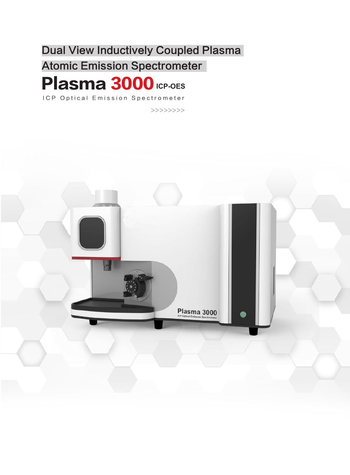Dual View Inductively Coupled Plasma

**Atomic Emission Spectrometer** 

## Plasma 3000 **ICP-OES**

ICP Optical Emission Spectrometer

>>>>>>>>

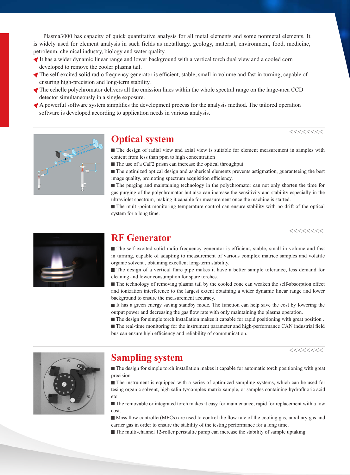Plasma3000 has capacity of quick quantitative analysis for all metal elements and some nonmetal elements. It is widely used for element analysis in such fields as metallurgy, geology, material, environment, food, medicine, petroleum, chemical industry, biology and water quality.

- It has a wider dynamic linear range and lower background with a vertical torch dual view and a cooled corn developed to remove the cooler plasma tail.
- The self-excited solid radio frequency generator is efficient, stable, small in volume and fast in turning, capable of ensuring high-precision and long-term stability.
- The echelle polychromator delivers all the emission lines within the whole spectral range on the large-area CCD detector simultaneously in a single exposure.
- A powerful software system simplifies the development process for the analysis method. The tailored operation software is developed according to application needs in various analysis.



### **Optical system**

The design of radial view and axial view is suitable for element measurement in samples with content from less than ppm to high concentration

■ The use of a CaF2 prism can increase the optical throughput.

 The optimized optical design and aspherical elements prevents astigmation, guaranteeing the best image quality, promoting spectrum acquisition efficiency.

 The purging and maintaining technology in the polychromator can not only shorten the time for gas purging of the polychromator but also can increase the sensitivity and stability especially in the ultraviolet spectrum, making it capable for measurement once the machine is started.

 The multi-point monitoring temperature control can ensure stability with no drift of the optical system for a long time.

>>>>>>>>

>>>>>>>>



### **RF Generator**

The self-excited solid radio frequency generator is efficient, stable, small in volume and fast in turning, capable of adapting to measurement of various complex matrice samples and volatile organic solvent , obtaining excellent long-term stability.

The design of a vertical flare pipe makes it have a better sample tolerance, less demand for cleaning and lower consumption for spare torches.

The technology of removing plasma tail by the cooled cone can weaken the self-absorption effect and ionization interference to the largest extent obtaining a wider dynamic linear range and lower background to ensure the measurement accuracy.

It has a green energy saving standby mode. The function can help save the cost by lowering the output power and decreasing the gas flow rate with only maintaining the plasma operation.

The design for simple torch installation makes it capable for rapid positioning with great position.

The real-time monitoring for the instrument parameter and high-performance CAN industrial field bus can ensure high efficiency and reliability of communication.

>>>>>>>>



## **Sampling system**

The design for simple torch installation makes it capable for automatic torch positioning with great precision.

The instrument is equipped with a series of optimized sampling systems, which can be used for tesing organic solvent, high salinity/complex matrix sample, or samples containing hydrofluoric acid etc.

 $\blacksquare$  The removable or integrated torch makes it easy for maintenance, rapid for replacement with a low cost.

Mass flow controller(MFCs) are used to control the flow rate of the cooling gas, auxiliary gas and carrier gas in order to ensure the stability of the testing performance for a long time.

The multi-channel 12-roller peristaltic pump can increase the stability of sample uptaking.